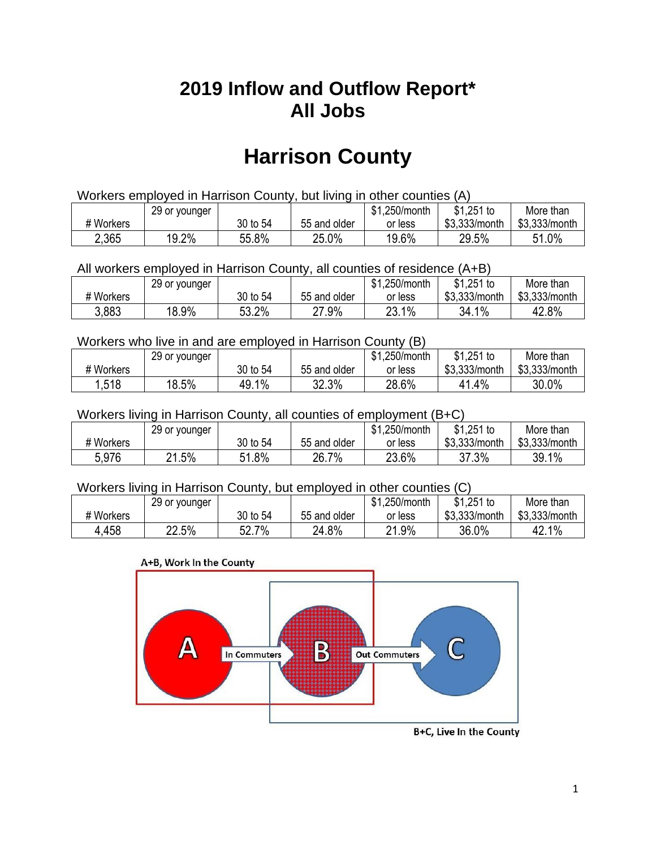## **2019 Inflow and Outflow Report\* All Jobs**

# **Harrison County**

| Workers employed in Harrison County, but living in other counties (A) |                                                            |          |              |         |               |               |  |  |  |
|-----------------------------------------------------------------------|------------------------------------------------------------|----------|--------------|---------|---------------|---------------|--|--|--|
|                                                                       | $$1,251$ to<br>\$1.250/month<br>More than<br>29 or younger |          |              |         |               |               |  |  |  |
| # Workers                                                             |                                                            | 30 to 54 | 55 and older | or less | \$3.333/month | \$3,333/month |  |  |  |
| 2,365                                                                 | 19.2%                                                      | 55.8%    | 25.0%        | 19.6%   | 29.5%         | 51.0%         |  |  |  |

All workers employed in Harrison County, all counties of residence (A+B)

|           | 29 or younger |          |              | \$1,250/month | \$1,251 to    | More than     |
|-----------|---------------|----------|--------------|---------------|---------------|---------------|
| # Workers |               | 30 to 54 | 55 and older | or less       | \$3,333/month | \$3,333/month |
| 3.883     | 18.9%         | 53.2%    | 27.9%        | 23.1%<br>つつ   | 34.1%         | 42.8%         |

#### Workers who live in and are employed in Harrison County (B)

|           | 29 or younger |                  |              | \$1,250/month | \$1,251 to    | More than     |
|-----------|---------------|------------------|--------------|---------------|---------------|---------------|
| # Workers |               | 30 to 54         | 55 and older | or less       | \$3,333/month | \$3,333/month |
| 1,518     | 18.5%         | $1\%$<br>- 49. î | 32.3%        | 28.6%         | 41.4%         | 30.0%         |

#### Workers living in Harrison County, all counties of employment (B+C)

|           | 29 or younger |              |              | \$1,250/month | \$1,251 to    | More than     |
|-----------|---------------|--------------|--------------|---------------|---------------|---------------|
| # Workers |               | 30 to 54     | 55 and older | or less       | \$3,333/month | \$3,333/month |
| 5.976     | 21.5%         | 1.8%<br>C 4. | 26.7%        | 23.6%         | 37.3%         | 39.1%         |

#### Workers living in Harrison County, but employed in other counties (C)

|           | 29 or younger |                   |              | \$1,250/month | $$1,251$ to   | More than     |
|-----------|---------------|-------------------|--------------|---------------|---------------|---------------|
| # Workers |               | 30 to 54          | 55 and older | or less       | \$3,333/month | \$3,333/month |
| 4,458     | 22.5%         | 7%<br>Γn.<br>ו גכ | 24.8%        | 21.9%         | 36.0%         | 42.1%         |

#### A+B, Work In the County